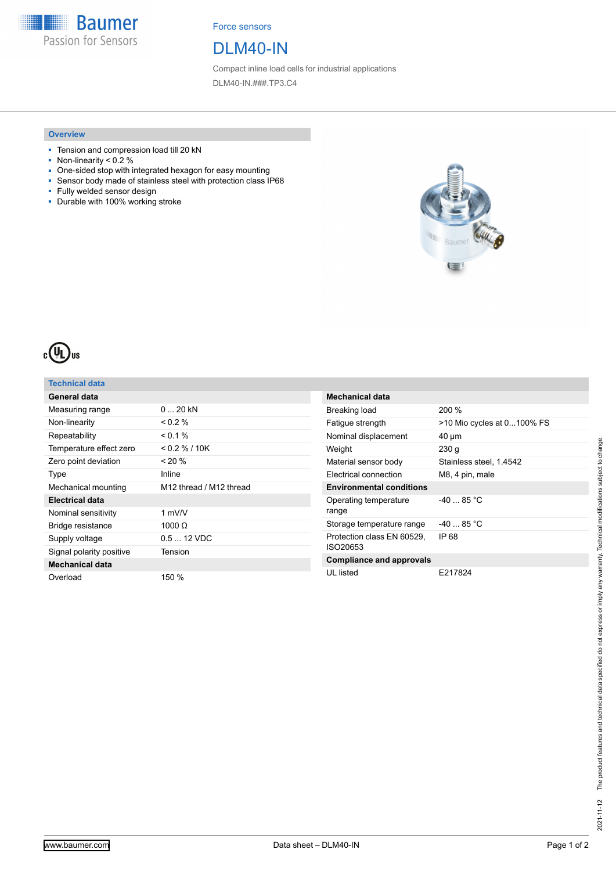**Baumer** Passion for Sensors

Force sensors

# DLM40-IN

Compact inline load cells for industrial applications DLM40-IN.###.TP3.C4

#### **Overview**

- Tension and compression load till 20 kN
- $\blacksquare$  Non-linearity < 0.2 %
- One-sided stop with integrated hexagon for easy mounting<br>■ Sensor body made of stainless steel with protection class If
- Sensor body made of stainless steel with protection class IP68
- Fully welded sensor design
- Durable with 100% working stroke





## **Technical data**

| General data             |                         |
|--------------------------|-------------------------|
| Measuring range          | $0, 20$ kN              |
| Non-linearity            | $0.2\%$                 |
| Repeatability            | $< 0.1 \%$              |
| Temperature effect zero  | $<$ 0.2 % / 10K         |
| Zero point deviation     | $< 20 \%$               |
| Type                     | Inline                  |
| Mechanical mounting      | M12 thread / M12 thread |
| Electrical data          |                         |
| Nominal sensitivity      | 1 $mV/V$                |
| Bridge resistance        | 1000 $\Omega$           |
| Supply voltage           | $0.512$ VDC             |
| Signal polarity positive | Tension                 |
| <b>Mechanical data</b>   |                         |
| Overload                 | 150 %                   |

| <b>Mechanical data</b>                 |                            |
|----------------------------------------|----------------------------|
| Breaking load                          | 200%                       |
| Fatigue strength                       | >10 Mio cycles at 0100% FS |
| Nominal displacement                   | 40 µm                      |
| Weight                                 | 230 g                      |
| Material sensor body                   | Stainless steel, 1.4542    |
| <b>Electrical connection</b>           | M8, 4 pin, male            |
| <b>Environmental conditions</b>        |                            |
| Operating temperature<br>range         | $-4085 °C$                 |
| Storage temperature range              | $-4085$ °C                 |
| Protection class EN 60529,<br>ISO20653 | IP 68                      |
| <b>Compliance and approvals</b>        |                            |
| UL listed                              | E217824                    |